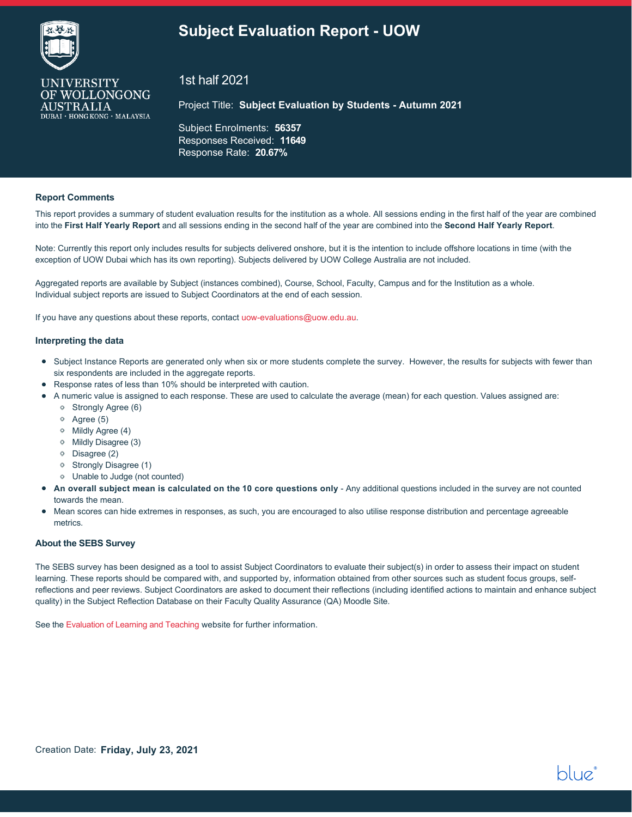## **Subject Evaluation Report - UOW**



**UNIVERSITY** OF WOLLONGONG

**AUSTRALIA** 

DUBAI · HONG KONG · MALAYSIA

1st half 2021

Project Title: **Subject Evaluation by Students - Autumn 2021**

Subject Enrolments: **56357** Responses Received: **11649** Response Rate: **20.67%**

#### **Report Comments**

This report provides a summary of student evaluation results for the institution as a whole. All sessions ending in the first half of the year are combined into the **First Half Yearly Report** and all sessions ending in the second half of the year are combined into the **Second Half Yearly Report**.

Note: Currently this report only includes results for subjects delivered onshore, but it is the intention to include offshore locations in time (with the exception of UOW Dubai which has its own reporting). Subjects delivered by UOW College Australia are not included.

Aggregated reports are available by Subject (instances combined), Course, School, Faculty, Campus and for the Institution as a whole. Individual subject reports are issued to Subject Coordinators at the end of each session.

If you have any questions about these reports, contact [uow-evaluations@uow.edu.au](mailto:uow-evaluations@uow.edu.au).

#### **Interpreting the data**

- Subject Instance Reports are generated only when six or more students complete the survey. However, the results for subjects with fewer than six respondents are included in the aggregate reports.
- Response rates of less than 10% should be interpreted with caution.
- A numeric value is assigned to each response. These are used to calculate the average (mean) for each question. Values assigned are:
	- Strongly Agree (6)
	- Agree (5)
	- Mildly Agree (4)
	- Mildly Disagree (3)
	- Disagree (2)
	- <sup>o</sup> Strongly Disagree (1)
	- Unable to Judge (not counted)
- **An overall subject mean is calculated on the 10 core questions only**  Any additional questions included in the survey are not counted towards the mean.
- Mean scores can hide extremes in responses, as such, you are encouraged to also utilise response distribution and percentage agreeable metrics.

#### **About the SEBS Survey**

The SEBS survey has been designed as a tool to assist Subject Coordinators to evaluate their subject(s) in order to assess their impact on student learning. These reports should be compared with, and supported by, information obtained from other sources such as student focus groups, selfreflections and peer reviews. Subject Coordinators are asked to document their reflections (including identified actions to maintain and enhance subject quality) in the Subject Reflection Database on their Faculty Quality Assurance (QA) Moodle Site.

bluei

See the [Evaluation of Learning and Teaching](https://www.uow.edu.au/about/learning-teaching/quality/evaluation-of-learning-and-teaching/student-feedback-surveys/) website for further information.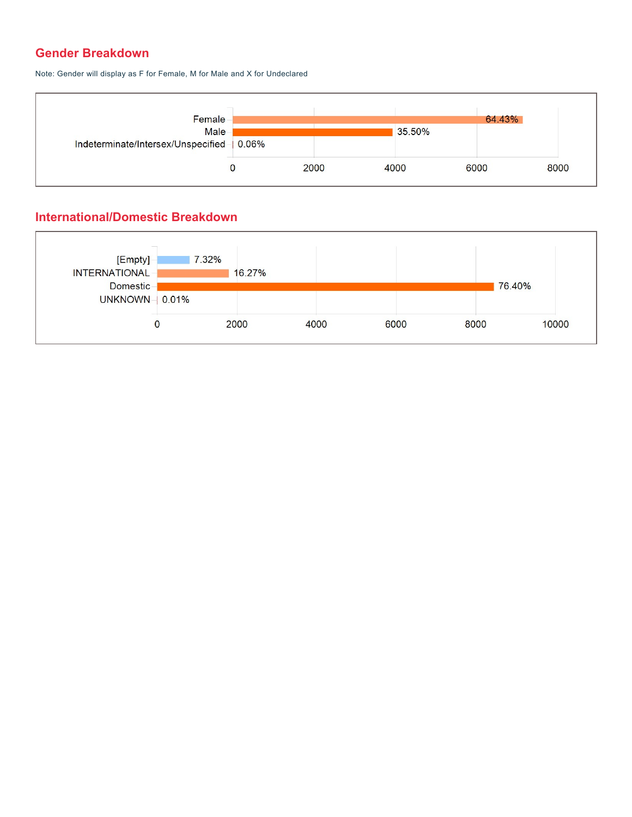#### **Gender Breakdown**

Note: Gender will display as F for Female, M for Male and X for Undeclared



#### **International/Domestic Breakdown**

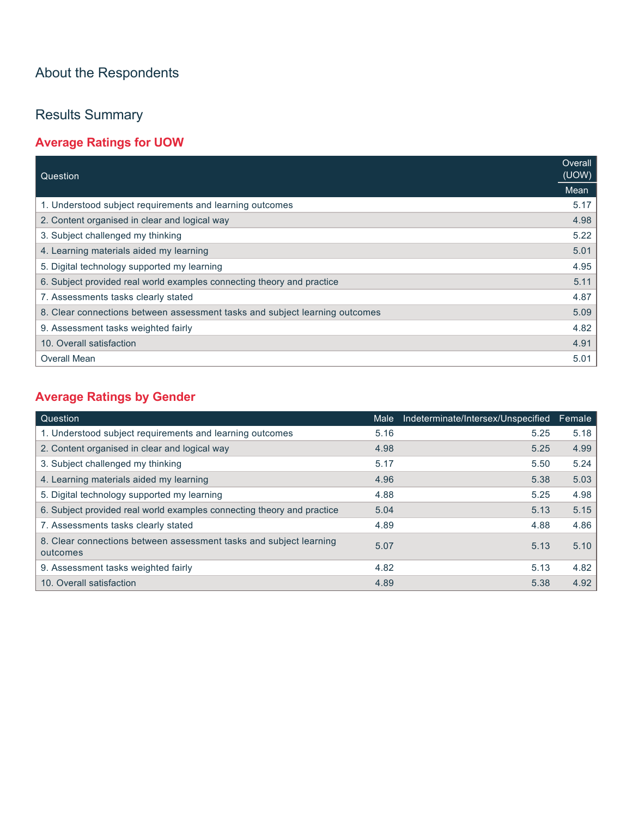# About the Respondents

# Results Summary

## **Average Ratings for UOW**

| Question                                                                    | Overall<br>(UOW) |
|-----------------------------------------------------------------------------|------------------|
|                                                                             | Mean             |
| 1. Understood subject requirements and learning outcomes                    | 5.17             |
| 2. Content organised in clear and logical way                               | 4.98             |
| 3. Subject challenged my thinking                                           | 5.22             |
| 4. Learning materials aided my learning                                     | 5.01             |
| 5. Digital technology supported my learning                                 | 4.95             |
| 6. Subject provided real world examples connecting theory and practice      | 5.11             |
| 7. Assessments tasks clearly stated                                         | 4.87             |
| 8. Clear connections between assessment tasks and subject learning outcomes | 5.09             |
| 9. Assessment tasks weighted fairly                                         | 4.82             |
| 10. Overall satisfaction                                                    | 4.91             |
| <b>Overall Mean</b>                                                         | 5.01             |

## **Average Ratings by Gender**

| Question                                                                       | Male | Indeterminate/Intersex/Unspecified | Female |
|--------------------------------------------------------------------------------|------|------------------------------------|--------|
| 1. Understood subject requirements and learning outcomes                       | 5.16 | 5.25                               | 5.18   |
| 2. Content organised in clear and logical way                                  | 4.98 | 5.25                               | 4.99   |
| 3. Subject challenged my thinking                                              | 5.17 | 5.50                               | 5.24   |
| 4. Learning materials aided my learning                                        | 4.96 | 5.38                               | 5.03   |
| 5. Digital technology supported my learning                                    | 4.88 | 5.25                               | 4.98   |
| 6. Subject provided real world examples connecting theory and practice         | 5.04 | 5.13                               | 5.15   |
| 7. Assessments tasks clearly stated                                            | 4.89 | 4.88                               | 4.86   |
| 8. Clear connections between assessment tasks and subject learning<br>outcomes | 5.07 | 5.13                               | 5.10   |
| 9. Assessment tasks weighted fairly                                            | 4.82 | 5.13                               | 4.82   |
| 10. Overall satisfaction                                                       | 4.89 | 5.38                               | 4.92   |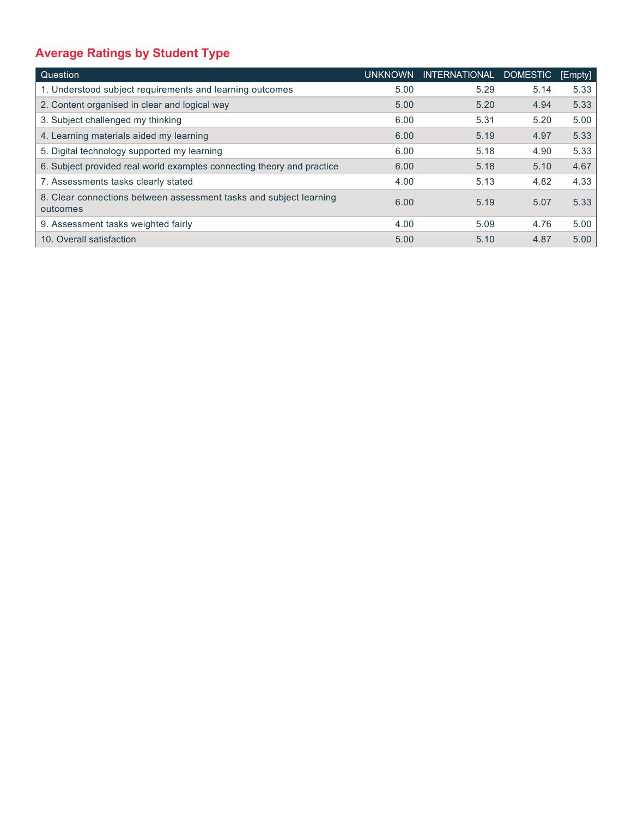# **Average Ratings by Student Type**

| Question                                                                       | <b>UNKNOWN</b> | <b>INTERNATIONAL</b> | <b>DOMESTIC</b> | [Empty] |
|--------------------------------------------------------------------------------|----------------|----------------------|-----------------|---------|
| 1. Understood subject requirements and learning outcomes                       | 5.00           | 5.29                 | 5.14            | 5.33    |
| 2. Content organised in clear and logical way                                  | 5.00           | 5.20                 | 4.94            | 5.33    |
| 3. Subject challenged my thinking                                              | 6.00           | 5.31                 | 5.20            | 5.00    |
| 4. Learning materials aided my learning                                        | 6.00           | 5.19                 | 4.97            | 5.33    |
| 5. Digital technology supported my learning                                    | 6.00           | 5.18                 | 4.90            | 5.33    |
| 6. Subject provided real world examples connecting theory and practice         | 6.00           | 5.18                 | 5.10            | 4.67    |
| 7. Assessments tasks clearly stated                                            | 4.00           | 5.13                 | 4.82            | 4.33    |
| 8. Clear connections between assessment tasks and subject learning<br>outcomes | 6.00           | 5.19                 | 5.07            | 5.33    |
| 9. Assessment tasks weighted fairly                                            | 4.00           | 5.09                 | 4.76            | 5.00    |
| 10. Overall satisfaction                                                       | 5.00           | 5.10                 | 4.87            | 5.00    |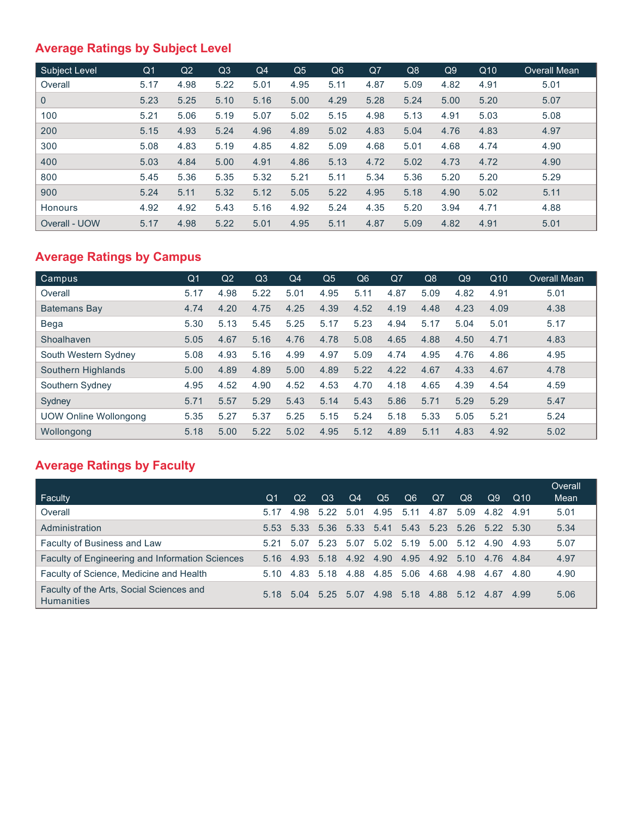## **Average Ratings by Subject Level**

| <b>Subiect Level</b> | Q <sub>1</sub> | Q2   | Q3   | Q4   | Q <sub>5</sub> | Q6   | Q7   | Q8   | Q9   | Q10  | Overall Mean |
|----------------------|----------------|------|------|------|----------------|------|------|------|------|------|--------------|
| Overall              | 5.17           | 4.98 | 5.22 | 5.01 | 4.95           | 5.11 | 4.87 | 5.09 | 4.82 | 4.91 | 5.01         |
| $\overline{0}$       | 5.23           | 5.25 | 5.10 | 5.16 | 5.00           | 4.29 | 5.28 | 5.24 | 5.00 | 5.20 | 5.07         |
| 100                  | 5.21           | 5.06 | 5.19 | 5.07 | 5.02           | 5.15 | 4.98 | 5.13 | 4.91 | 5.03 | 5.08         |
| 200                  | 5.15           | 4.93 | 5.24 | 4.96 | 4.89           | 5.02 | 4.83 | 5.04 | 4.76 | 4.83 | 4.97         |
| 300                  | 5.08           | 4.83 | 5.19 | 4.85 | 4.82           | 5.09 | 4.68 | 5.01 | 4.68 | 4.74 | 4.90         |
| 400                  | 5.03           | 4.84 | 5.00 | 4.91 | 4.86           | 5.13 | 4.72 | 5.02 | 4.73 | 4.72 | 4.90         |
| 800                  | 5.45           | 5.36 | 5.35 | 5.32 | 5.21           | 5.11 | 5.34 | 5.36 | 5.20 | 5.20 | 5.29         |
| 900                  | 5.24           | 5.11 | 5.32 | 5.12 | 5.05           | 5.22 | 4.95 | 5.18 | 4.90 | 5.02 | 5.11         |
| <b>Honours</b>       | 4.92           | 4.92 | 5.43 | 5.16 | 4.92           | 5.24 | 4.35 | 5.20 | 3.94 | 4.71 | 4.88         |
| Overall - UOW        | 5.17           | 4.98 | 5.22 | 5.01 | 4.95           | 5.11 | 4.87 | 5.09 | 4.82 | 4.91 | 5.01         |

### **Average Ratings by Campus**

| Campus                | Q <sub>1</sub> | Q <sub>2</sub> | Q3   | Q <sub>4</sub> | Q <sub>5</sub> | Q <sub>6</sub> | Q <sub>7</sub> | Q8   | Q9   | Q <sub>10</sub> | <b>Overall Mean</b> |
|-----------------------|----------------|----------------|------|----------------|----------------|----------------|----------------|------|------|-----------------|---------------------|
| Overall               | 5.17           | 4.98           | 5.22 | 5.01           | 4.95           | 5.11           | 4.87           | 5.09 | 4.82 | 4.91            | 5.01                |
| <b>Batemans Bay</b>   | 4.74           | 4.20           | 4.75 | 4.25           | 4.39           | 4.52           | 4.19           | 4.48 | 4.23 | 4.09            | 4.38                |
| Bega                  | 5.30           | 5.13           | 5.45 | 5.25           | 5.17           | 5.23           | 4.94           | 5.17 | 5.04 | 5.01            | 5.17                |
| Shoalhaven            | 5.05           | 4.67           | 5.16 | 4.76           | 4.78           | 5.08           | 4.65           | 4.88 | 4.50 | 4.71            | 4.83                |
| South Western Sydney  | 5.08           | 4.93           | 5.16 | 4.99           | 4.97           | 5.09           | 4.74           | 4.95 | 4.76 | 4.86            | 4.95                |
| Southern Highlands    | 5.00           | 4.89           | 4.89 | 5.00           | 4.89           | 5.22           | 4.22           | 4.67 | 4.33 | 4.67            | 4.78                |
| Southern Sydney       | 4.95           | 4.52           | 4.90 | 4.52           | 4.53           | 4.70           | 4.18           | 4.65 | 4.39 | 4.54            | 4.59                |
| Sydney                | 5.71           | 5.57           | 5.29 | 5.43           | 5.14           | 5.43           | 5.86           | 5.71 | 5.29 | 5.29            | 5.47                |
| UOW Online Wollongong | 5.35           | 5.27           | 5.37 | 5.25           | 5.15           | 5.24           | 5.18           | 5.33 | 5.05 | 5.21            | 5.24                |
| Wollongong            | 5.18           | 5.00           | 5.22 | 5.02           | 4.95           | 5.12           | 4.89           | 5.11 | 4.83 | 4.92            | 5.02                |

### **Average Ratings by Faculty**

| Faculty                                                       | $\Omega$ 1 | Q <sub>2</sub>                                    | Q <sub>3</sub> | Q <sub>4</sub> | Q <sub>5</sub>      | Q <sub>6</sub> | Q7   | Q8             | Q9        | Q <sub>10</sub> | Overall<br>Mean |
|---------------------------------------------------------------|------------|---------------------------------------------------|----------------|----------------|---------------------|----------------|------|----------------|-----------|-----------------|-----------------|
| Overall                                                       | 5.17       | 4.98                                              | 5.22           | 5.01           | 4.95                | 5.11           | 4.87 | 5.09           | 4.82 4.91 |                 | 5.01            |
| Administration                                                |            | 5.53 5.33 5.36 5.33 5.41 5.43 5.23 5.26 5.22 5.30 |                |                |                     |                |      |                |           |                 | 5.34            |
| Faculty of Business and Law                                   | 5.21       | 5.07                                              | 5.23           |                | 5.07 5.02 5.19 5.00 |                |      | 5.12           | 4.90 4.93 |                 | 5.07            |
| Faculty of Engineering and Information Sciences               | 5.16       | 4.93                                              |                | 5.18 4.92      | 4.90 4.95 4.92      |                |      | 5.10 4.76 4.84 |           |                 | 4.97            |
| Faculty of Science, Medicine and Health                       | 5.10       | 4.83                                              | 5.18           | 4.88           | 4.85 5.06           |                | 4.68 | 4.98           | 4.67      | -4.80           | 4.90            |
| Faculty of the Arts, Social Sciences and<br><b>Humanities</b> |            | 5.18 5.04 5.25 5.07                               |                |                | 4.98                | 5.18           |      | 4.88 5.12 4.87 |           | 4.99            | 5.06            |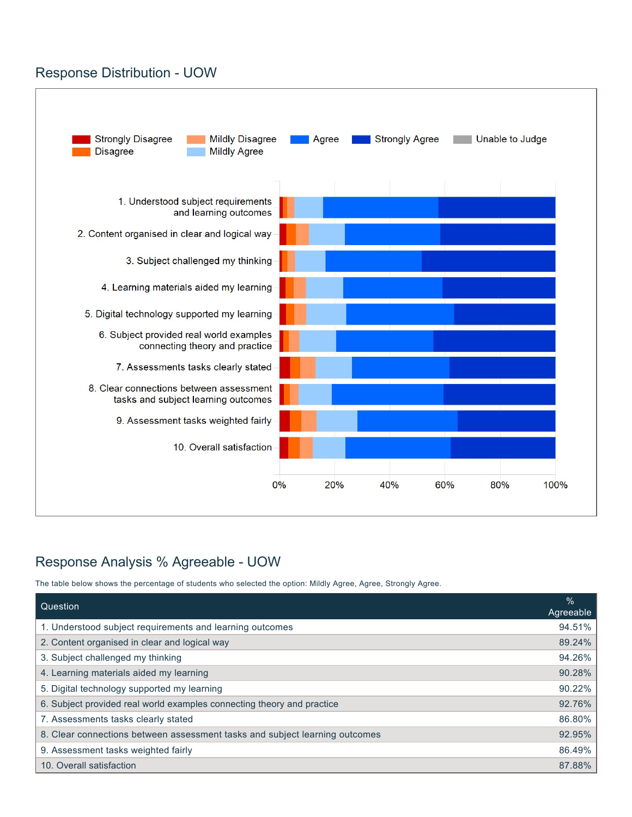#### Response Distribution - UOW



### Response Analysis % Agreeable - UOW

The table below shows the percentage of students who selected the option: Mildly Agree, Agree, Strongly Agree.

| Question                                                                    | $\frac{9}{6}$<br>Agreeable |
|-----------------------------------------------------------------------------|----------------------------|
| 1. Understood subject requirements and learning outcomes                    | 94.51%                     |
| 2. Content organised in clear and logical way                               | 89.24%                     |
| 3. Subject challenged my thinking                                           | 94.26%                     |
| 4. Learning materials aided my learning                                     | 90.28%                     |
| 5. Digital technology supported my learning                                 | 90.22%                     |
| 6. Subject provided real world examples connecting theory and practice      | 92.76%                     |
| 7. Assessments tasks clearly stated                                         | 86.80%                     |
| 8. Clear connections between assessment tasks and subject learning outcomes | 92.95%                     |
| 9. Assessment tasks weighted fairly                                         | 86.49%                     |
| 10. Overall satisfaction                                                    | 87.88%                     |